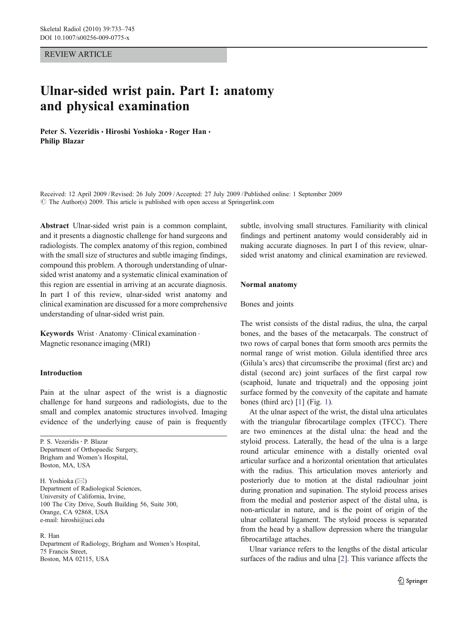#### REVIEW ARTICLE

# Ulnar-sided wrist pain. Part I: anatomy and physical examination

Peter S. Vezeridis · Hiroshi Yoshioka · Roger Han · Philip Blazar

Received: 12 April 2009 /Revised: 26 July 2009 /Accepted: 27 July 2009 / Published online: 1 September 2009  $\circ$  The Author(s) 2009. This article is published with open access at Springerlink.com

Abstract Ulnar-sided wrist pain is a common complaint, and it presents a diagnostic challenge for hand surgeons and radiologists. The complex anatomy of this region, combined with the small size of structures and subtle imaging findings, compound this problem. A thorough understanding of ulnarsided wrist anatomy and a systematic clinical examination of this region are essential in arriving at an accurate diagnosis. In part I of this review, ulnar-sided wrist anatomy and clinical examination are discussed for a more comprehensive understanding of ulnar-sided wrist pain.

Keywords Wrist . Anatomy . Clinical examination . Magnetic resonance imaging (MRI)

#### Introduction

Pain at the ulnar aspect of the wrist is a diagnostic challenge for hand surgeons and radiologists, due to the small and complex anatomic structures involved. Imaging evidence of the underlying cause of pain is frequently

P. S. Vezeridis: P. Blazar Department of Orthopaedic Surgery, Brigham and Women's Hospital, Boston, MA, USA

H. Yoshioka (⊠) Department of Radiological Sciences, University of California, Irvine, 100 The City Drive, South Building 56, Suite 300, Orange, CA 92868, USA e-mail: hiroshi@uci.edu

#### R. Han

Department of Radiology, Brigham and Women's Hospital, 75 Francis Street, Boston, MA 02115, USA

subtle, involving small structures. Familiarity with clinical findings and pertinent anatomy would considerably aid in making accurate diagnoses. In part I of this review, ulnarsided wrist anatomy and clinical examination are reviewed.

#### Normal anatomy

#### Bones and joints

The wrist consists of the distal radius, the ulna, the carpal bones, and the bases of the metacarpals. The construct of two rows of carpal bones that form smooth arcs permits the normal range of wrist motion. Gilula identified three arcs (Gilula's arcs) that circumscribe the proximal (first arc) and distal (second arc) joint surfaces of the first carpal row (scaphoid, lunate and triquetral) and the opposing joint surface formed by the convexity of the capitate and hamate bones (third arc)  $[1]$  $[1]$  (Fig. [1](#page-1-0)).

At the ulnar aspect of the wrist, the distal ulna articulates with the triangular fibrocartilage complex (TFCC). There are two eminences at the distal ulna: the head and the styloid process. Laterally, the head of the ulna is a large round articular eminence with a distally oriented oval articular surface and a horizontal orientation that articulates with the radius. This articulation moves anteriorly and posteriorly due to motion at the distal radioulnar joint during pronation and supination. The styloid process arises from the medial and posterior aspect of the distal ulna, is non-articular in nature, and is the point of origin of the ulnar collateral ligament. The styloid process is separated from the head by a shallow depression where the triangular fibrocartilage attaches.

Ulnar variance refers to the lengths of the distal articular surfaces of the radius and ulna [[2\]](#page-11-0). This variance affects the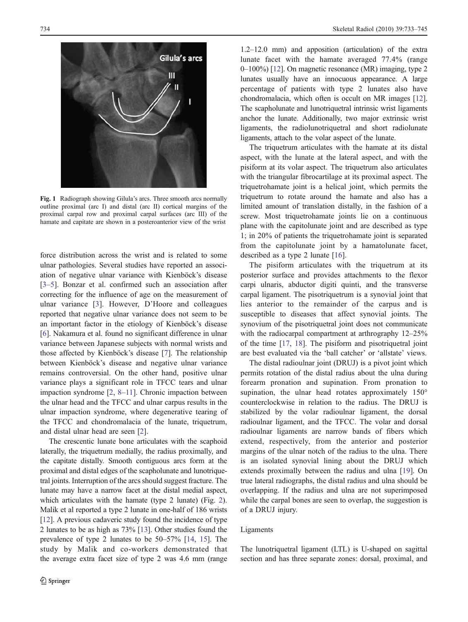<span id="page-1-0"></span>

Fig. 1 Radiograph showing Gilula's arcs. Three smooth arcs normally outline proximal (arc I) and distal (arc II) cortical margins of the proximal carpal row and proximal carpal surfaces (arc III) of the hamate and capitate are shown in a posteroanterior view of the wrist

force distribution across the wrist and is related to some ulnar pathologies. Several studies have reported an association of negative ulnar variance with Kienböck's disease [\[3](#page-11-0)–[5](#page-11-0)]. Bonzar et al. confirmed such an association after correcting for the influence of age on the measurement of ulnar variance [\[3\]](#page-11-0). However, D'Hoore and colleagues reported that negative ulnar variance does not seem to be an important factor in the etiology of Kienböck's disease [\[6](#page-11-0)]. Nakamura et al. found no significant difference in ulnar variance between Japanese subjects with normal wrists and those affected by Kienböck's disease [[7\]](#page-11-0). The relationship between Kienböck's disease and negative ulnar variance remains controversial. On the other hand, positive ulnar variance plays a significant role in TFCC tears and ulnar impaction syndrome [\[2](#page-11-0), [8](#page-11-0)–[11\]](#page-11-0). Chronic impaction between the ulnar head and the TFCC and ulnar carpus results in the ulnar impaction syndrome, where degenerative tearing of the TFCC and chondromalacia of the lunate, triquetrum, and distal ulnar head are seen [\[2](#page-11-0)].

The crescentic lunate bone articulates with the scaphoid laterally, the triquetrum medially, the radius proximally, and the capitate distally. Smooth contiguous arcs form at the proximal and distal edges of the scapholunate and lunotriquetral joints. Interruption of the arcs should suggest fracture. The lunate may have a narrow facet at the distal medial aspect, which articulates with the hamate (type 2 lunate) (Fig. [2\)](#page-2-0). Malik et al reported a type 2 lunate in one-half of 186 wrists [\[12\]](#page-11-0). A previous cadaveric study found the incidence of type 2 lunates to be as high as 73% [\[13](#page-11-0)]. Other studies found the prevalence of type 2 lunates to be 50–57% [[14](#page-11-0), [15\]](#page-11-0). The study by Malik and co-workers demonstrated that the average extra facet size of type 2 was 4.6 mm (range

1.2–12.0 mm) and apposition (articulation) of the extra lunate facet with the hamate averaged 77.4% (range 0–100%) [[12](#page-11-0)]. On magnetic resonance (MR) imaging, type 2 lunates usually have an innocuous appearance. A large percentage of patients with type 2 lunates also have chondromalacia, which often is occult on MR images [[12\]](#page-11-0). The scapholunate and lunotriquetral intrinsic wrist ligaments anchor the lunate. Additionally, two major extrinsic wrist ligaments, the radiolunotriquetral and short radiolunate ligaments, attach to the volar aspect of the lunate.

The triquetrum articulates with the hamate at its distal aspect, with the lunate at the lateral aspect, and with the pisiform at its volar aspect. The triquetrum also articulates with the triangular fibrocartilage at its proximal aspect. The triquetrohamate joint is a helical joint, which permits the triquetrum to rotate around the hamate and also has a limited amount of translation distally, in the fashion of a screw. Most triquetrohamate joints lie on a continuous plane with the capitolunate joint and are described as type 1; in 20% of patients the triquetrohamate joint is separated from the capitolunate joint by a hamatolunate facet, described as a type 2 lunate [[16\]](#page-12-0).

The pisiform articulates with the triquetrum at its posterior surface and provides attachments to the flexor carpi ulnaris, abductor digiti quinti, and the transverse carpal ligament. The pisotriquetrum is a synovial joint that lies anterior to the remainder of the carpus and is susceptible to diseases that affect synovial joints. The synovium of the pisotriquetral joint does not communicate with the radiocarpal compartment at arthrography  $12-25%$ of the time [[17,](#page-12-0) [18](#page-12-0)]. The pisiform and pisotriquetral joint are best evaluated via the 'ball catcher' or 'allstate' views.

The distal radioulnar joint (DRUJ) is a pivot joint which permits rotation of the distal radius about the ulna during forearm pronation and supination. From pronation to supination, the ulnar head rotates approximately 150° counterclockwise in relation to the radius. The DRUJ is stabilized by the volar radioulnar ligament, the dorsal radioulnar ligament, and the TFCC. The volar and dorsal radioulnar ligaments are narrow bands of fibers which extend, respectively, from the anterior and posterior margins of the ulnar notch of the radius to the ulna. There is an isolated synovial lining about the DRUJ which extends proximally between the radius and ulna [\[19](#page-12-0)]. On true lateral radiographs, the distal radius and ulna should be overlapping. If the radius and ulna are not superimposed while the carpal bones are seen to overlap, the suggestion is of a DRUJ injury.

#### Ligaments

The lunotriquetral ligament (LTL) is U-shaped on sagittal section and has three separate zones: dorsal, proximal, and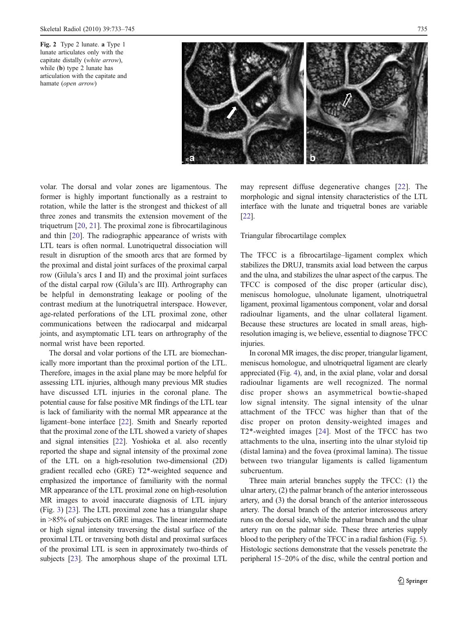<span id="page-2-0"></span>Fig. 2 Type 2 lunate. a Type 1 lunate articulates only with the capitate distally (white arrow), while (b) type 2 lunate has articulation with the capitate and hamate (open arrow)



volar. The dorsal and volar zones are ligamentous. The former is highly important functionally as a restraint to rotation, while the latter is the strongest and thickest of all three zones and transmits the extension movement of the triquetrum [[20,](#page-12-0) [21\]](#page-12-0). The proximal zone is fibrocartilaginous and thin [[20\]](#page-12-0). The radiographic appearance of wrists with LTL tears is often normal. Lunotriquetral dissociation will result in disruption of the smooth arcs that are formed by the proximal and distal joint surfaces of the proximal carpal row (Gilula's arcs I and II) and the proximal joint surfaces of the distal carpal row (Gilula's arc III). Arthrography can be helpful in demonstrating leakage or pooling of the contrast medium at the lunotriquetral interspace. However, age-related perforations of the LTL proximal zone, other communications between the radiocarpal and midcarpal joints, and asymptomatic LTL tears on arthrography of the normal wrist have been reported.

The dorsal and volar portions of the LTL are biomechanically more important than the proximal portion of the LTL. Therefore, images in the axial plane may be more helpful for assessing LTL injuries, although many previous MR studies have discussed LTL injuries in the coronal plane. The potential cause for false positive MR findings of the LTL tear is lack of familiarity with the normal MR appearance at the ligament–bone interface [\[22](#page-12-0)]. Smith and Snearly reported that the proximal zone of the LTL showed a variety of shapes and signal intensities [[22\]](#page-12-0). Yoshioka et al. also recently reported the shape and signal intensity of the proximal zone of the LTL on a high-resolution two-dimensional (2D) gradient recalled echo (GRE) T2\*-weighted sequence and emphasized the importance of familiarity with the normal MR appearance of the LTL proximal zone on high-resolution MR images to avoid inaccurate diagnosis of LTL injury (Fig. [3](#page-3-0)) [[23\]](#page-12-0). The LTL proximal zone has a triangular shape in >85% of subjects on GRE images. The linear intermediate or high signal intensity traversing the distal surface of the proximal LTL or traversing both distal and proximal surfaces of the proximal LTL is seen in approximately two-thirds of subjects [[23\]](#page-12-0). The amorphous shape of the proximal LTL

may represent diffuse degenerative changes [\[22](#page-12-0)]. The morphologic and signal intensity characteristics of the LTL interface with the lunate and triquetral bones are variable [\[22](#page-12-0)].

Triangular fibrocartilage complex

The TFCC is a fibrocartilage–ligament complex which stabilizes the DRUJ, transmits axial load between the carpus and the ulna, and stabilizes the ulnar aspect of the carpus. The TFCC is composed of the disc proper (articular disc), meniscus homologue, ulnolunate ligament, ulnotriquetral ligament, proximal ligamentous component, volar and dorsal radioulnar ligaments, and the ulnar collateral ligament. Because these structures are located in small areas, highresolution imaging is, we believe, essential to diagnose TFCC injuries.

In coronal MR images, the disc proper, triangular ligament, meniscus homologue, and ulnotriquetral ligament are clearly appreciated (Fig. [4\)](#page-3-0), and, in the axial plane, volar and dorsal radioulnar ligaments are well recognized. The normal disc proper shows an asymmetrical bowtie-shaped low signal intensity. The signal intensity of the ulnar attachment of the TFCC was higher than that of the disc proper on proton density-weighted images and T2\*-weighted images [\[24\]](#page-12-0). Most of the TFCC has two attachments to the ulna, inserting into the ulnar styloid tip (distal lamina) and the fovea (proximal lamina). The tissue between two triangular ligaments is called ligamentum subcruentum.

Three main arterial branches supply the TFCC: (1) the ulnar artery, (2) the palmar branch of the anterior interosseous artery, and (3) the dorsal branch of the anterior interosseous artery. The dorsal branch of the anterior interosseous artery runs on the dorsal side, while the palmar branch and the ulnar artery run on the palmar side. These three arteries supply blood to the periphery of the TFCC in a radial fashion (Fig. [5\)](#page-4-0). Histologic sections demonstrate that the vessels penetrate the peripheral 15–20% of the disc, while the central portion and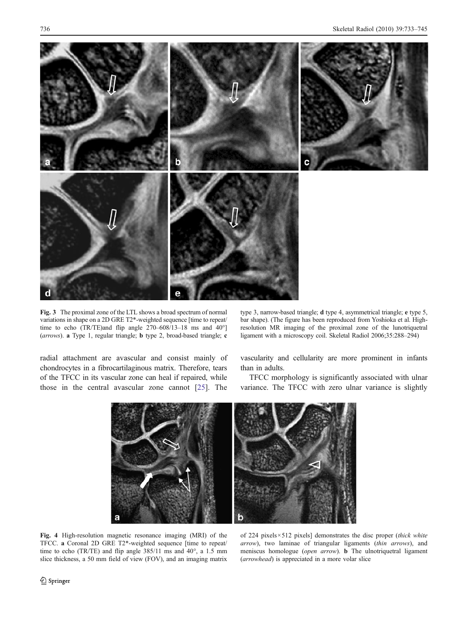<span id="page-3-0"></span>

Fig. 3 The proximal zone of the LTL shows a broad spectrum of normal variations in shape on a 2D GRE T2\*-weighted sequence [time to repeat/ time to echo (TR/TE)and flip angle 270–608/13–18 ms and 40°] (arrows). a Type 1, regular triangle; b type 2, broad-based triangle; c

type 3, narrow-based triangle; d type 4, asymmetrical triangle; e type 5, bar shape). (The figure has been reproduced from Yoshioka et al. Highresolution MR imaging of the proximal zone of the lunotriquetral ligament with a microscopy coil. Skeletal Radiol 2006;35:288–294)

radial attachment are avascular and consist mainly of chondrocytes in a fibrocartilaginous matrix. Therefore, tears of the TFCC in its vascular zone can heal if repaired, while those in the central avascular zone cannot [\[25](#page-12-0)]. The vascularity and cellularity are more prominent in infants than in adults.

TFCC morphology is significantly associated with ulnar variance. The TFCC with zero ulnar variance is slightly



Fig. 4 High-resolution magnetic resonance imaging (MRI) of the TFCC. a Coronal 2D GRE T2\*-weighted sequence [time to repeat/ time to echo (TR/TE) and flip angle 385/11 ms and 40°, a 1.5 mm slice thickness, a 50 mm field of view (FOV), and an imaging matrix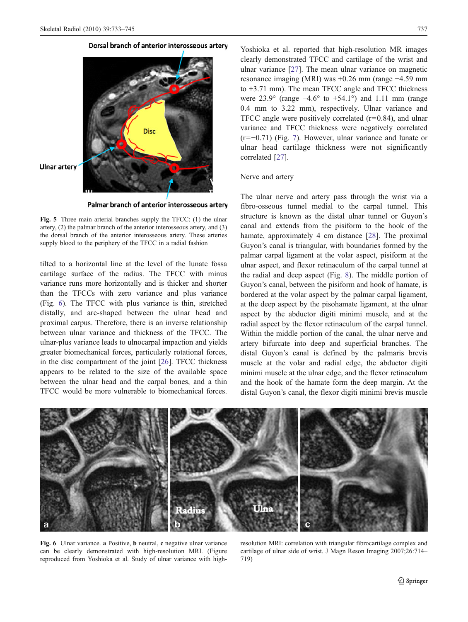#### Dorsal branch of anterior interosseous artery

<span id="page-4-0"></span>

Palmar branch of anterior interosseous artery

Fig. 5 Three main arterial branches supply the TFCC: (1) the ulnar artery, (2) the palmar branch of the anterior interosseous artery, and (3) the dorsal branch of the anterior interosseous artery. These arteries supply blood to the periphery of the TFCC in a radial fashion

tilted to a horizontal line at the level of the lunate fossa cartilage surface of the radius. The TFCC with minus variance runs more horizontally and is thicker and shorter than the TFCCs with zero variance and plus variance (Fig. 6). The TFCC with plus variance is thin, stretched distally, and arc-shaped between the ulnar head and proximal carpus. Therefore, there is an inverse relationship between ulnar variance and thickness of the TFCC. The ulnar-plus variance leads to ulnocarpal impaction and yields greater biomechanical forces, particularly rotational forces, in the disc compartment of the joint [[26\]](#page-12-0). TFCC thickness appears to be related to the size of the available space between the ulnar head and the carpal bones, and a thin TFCC would be more vulnerable to biomechanical forces.

Yoshioka et al. reported that high-resolution MR images clearly demonstrated TFCC and cartilage of the wrist and ulnar variance [\[27](#page-12-0)]. The mean ulnar variance on magnetic resonance imaging (MRI) was +0.26 mm (range −4.59 mm to +3.71 mm). The mean TFCC angle and TFCC thickness were 23.9° (range −4.6° to +54.1°) and 1.11 mm (range 0.4 mm to 3.22 mm), respectively. Ulnar variance and TFCC angle were positively correlated  $(r=0.84)$ , and ulnar variance and TFCC thickness were negatively correlated (r=−0.71) (Fig. [7\)](#page-5-0). However, ulnar variance and lunate or ulnar head cartilage thickness were not significantly correlated [[27\]](#page-12-0).

#### Nerve and artery

The ulnar nerve and artery pass through the wrist via a fibro-osseous tunnel medial to the carpal tunnel. This structure is known as the distal ulnar tunnel or Guyon's canal and extends from the pisiform to the hook of the hamate, approximately 4 cm distance [[28\]](#page-12-0). The proximal Guyon's canal is triangular, with boundaries formed by the palmar carpal ligament at the volar aspect, pisiform at the ulnar aspect, and flexor retinaculum of the carpal tunnel at the radial and deep aspect (Fig. [8](#page-5-0)). The middle portion of Guyon's canal, between the pisiform and hook of hamate, is bordered at the volar aspect by the palmar carpal ligament, at the deep aspect by the pisohamate ligament, at the ulnar aspect by the abductor digiti minimi muscle, and at the radial aspect by the flexor retinaculum of the carpal tunnel. Within the middle portion of the canal, the ulnar nerve and artery bifurcate into deep and superficial branches. The distal Guyon's canal is defined by the palmaris brevis muscle at the volar and radial edge, the abductor digiti minimi muscle at the ulnar edge, and the flexor retinaculum and the hook of the hamate form the deep margin. At the distal Guyon's canal, the flexor digiti minimi brevis muscle



Fig. 6 Ulnar variance. a Positive, b neutral, c negative ulnar variance can be clearly demonstrated with high-resolution MRI. (Figure reproduced from Yoshioka et al. Study of ulnar variance with high-

resolution MRI: correlation with triangular fibrocartilage complex and cartilage of ulnar side of wrist. J Magn Reson Imaging 2007;26:714– 719)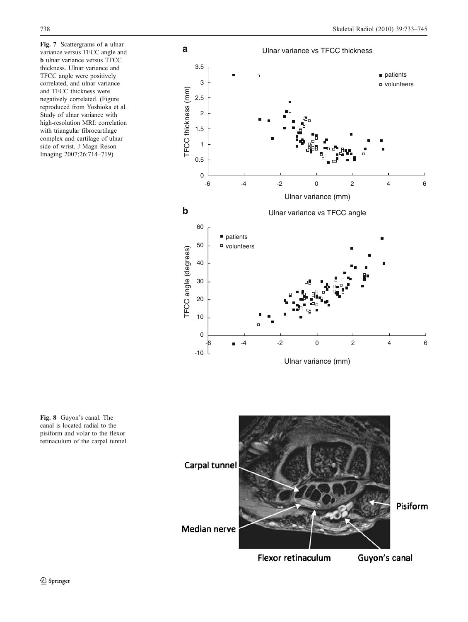<span id="page-5-0"></span>Fig. 7 Scattergrams of a ulnar variance versus TFCC angle and b ulnar variance versus TFCC thickness. Ulnar variance and TFCC angle were positively correlated, and ulnar variance and TFCC thickness were negatively correlated. (Figure reproduced from Yoshioka et al. Study of ulnar variance with high-resolution MRI: correlation with triangular fibrocartilage complex and cartilage of ulnar side of wrist. J Magn Reson Imaging 2007;26:714–719)



Fig. 8 Guyon's canal. The canal is located radial to the pisiform and volar to the flexor retinaculum of the carpal tunnel

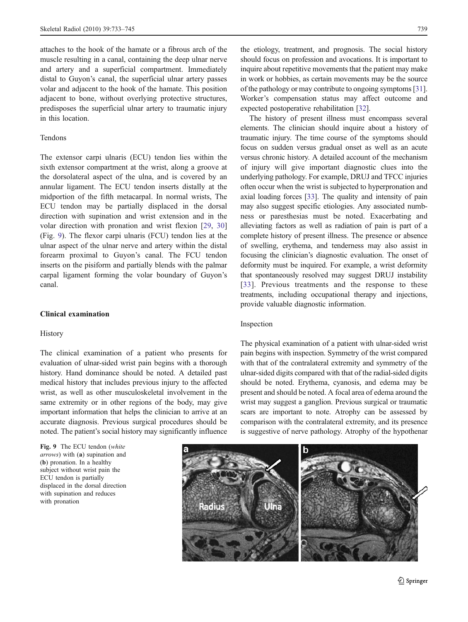attaches to the hook of the hamate or a fibrous arch of the muscle resulting in a canal, containing the deep ulnar nerve and artery and a superficial compartment. Immediately distal to Guyon's canal, the superficial ulnar artery passes volar and adjacent to the hook of the hamate. This position adjacent to bone, without overlying protective structures, predisposes the superficial ulnar artery to traumatic injury in this location.

## Tendons

The extensor carpi ulnaris (ECU) tendon lies within the sixth extensor compartment at the wrist, along a groove at the dorsolateral aspect of the ulna, and is covered by an annular ligament. The ECU tendon inserts distally at the midportion of the fifth metacarpal. In normal wrists, The ECU tendon may be partially displaced in the dorsal direction with supination and wrist extension and in the volar direction with pronation and wrist flexion [[29,](#page-12-0) [30\]](#page-12-0) (Fig. 9). The flexor carpi ulnaris (FCU) tendon lies at the ulnar aspect of the ulnar nerve and artery within the distal forearm proximal to Guyon's canal. The FCU tendon inserts on the pisiform and partially blends with the palmar carpal ligament forming the volar boundary of Guyon's canal.

#### Clinical examination

#### History

The clinical examination of a patient who presents for evaluation of ulnar-sided wrist pain begins with a thorough history. Hand dominance should be noted. A detailed past medical history that includes previous injury to the affected wrist, as well as other musculoskeletal involvement in the same extremity or in other regions of the body, may give important information that helps the clinician to arrive at an accurate diagnosis. Previous surgical procedures should be noted. The patient's social history may significantly influence

Fig. 9 The ECU tendon (white arrows) with (a) supination and (b) pronation. In a healthy subject without wrist pain the ECU tendon is partially displaced in the dorsal direction with supination and reduces with pronation

the etiology, treatment, and prognosis. The social history should focus on profession and avocations. It is important to inquire about repetitive movements that the patient may make in work or hobbies, as certain movements may be the source of the pathology or may contribute to ongoing symptoms [[31\]](#page-12-0). Worker's compensation status may affect outcome and expected postoperative rehabilitation [[32](#page-12-0)].

The history of present illness must encompass several elements. The clinician should inquire about a history of traumatic injury. The time course of the symptoms should focus on sudden versus gradual onset as well as an acute versus chronic history. A detailed account of the mechanism of injury will give important diagnostic clues into the underlying pathology. For example, DRUJ and TFCC injuries often occur when the wrist is subjected to hyperpronation and axial loading forces [[33\]](#page-12-0). The quality and intensity of pain may also suggest specific etiologies. Any associated numbness or paresthesias must be noted. Exacerbating and alleviating factors as well as radiation of pain is part of a complete history of present illness. The presence or absence of swelling, erythema, and tenderness may also assist in focusing the clinician's diagnostic evaluation. The onset of deformity must be inquired. For example, a wrist deformity that spontaneously resolved may suggest DRUJ instability [[33\]](#page-12-0). Previous treatments and the response to these treatments, including occupational therapy and injections, provide valuable diagnostic information.

#### Inspection

The physical examination of a patient with ulnar-sided wrist pain begins with inspection. Symmetry of the wrist compared with that of the contralateral extremity and symmetry of the ulnar-sided digits compared with that of the radial-sided digits should be noted. Erythema, cyanosis, and edema may be present and should be noted. A focal area of edema around the wrist may suggest a ganglion. Previous surgical or traumatic scars are important to note. Atrophy can be assessed by comparison with the contralateral extremity, and its presence is suggestive of nerve pathology. Atrophy of the hypothenar

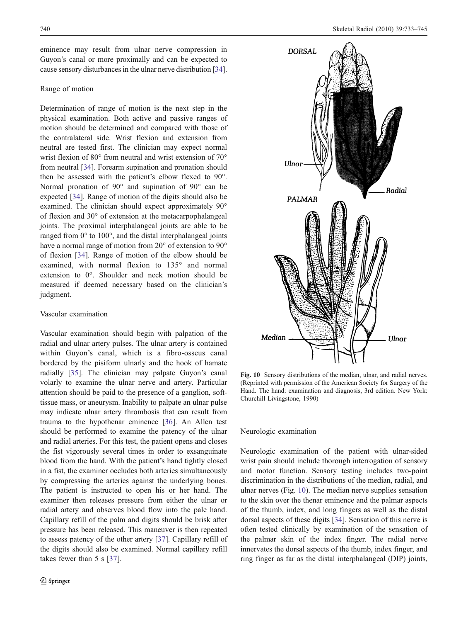eminence may result from ulnar nerve compression in Guyon's canal or more proximally and can be expected to cause sensory disturbances in the ulnar nerve distribution [[34\]](#page-12-0).

### Range of motion

Determination of range of motion is the next step in the physical examination. Both active and passive ranges of motion should be determined and compared with those of the contralateral side. Wrist flexion and extension from neutral are tested first. The clinician may expect normal wrist flexion of 80° from neutral and wrist extension of 70° from neutral [\[34](#page-12-0)]. Forearm supination and pronation should then be assessed with the patient's elbow flexed to 90°. Normal pronation of 90° and supination of 90° can be expected [\[34](#page-12-0)]. Range of motion of the digits should also be examined. The clinician should expect approximately 90° of flexion and 30° of extension at the metacarpophalangeal joints. The proximal interphalangeal joints are able to be ranged from 0° to 100°, and the distal interphalangeal joints have a normal range of motion from 20° of extension to 90° of flexion [[34\]](#page-12-0). Range of motion of the elbow should be examined, with normal flexion to 135° and normal extension to 0°. Shoulder and neck motion should be measured if deemed necessary based on the clinician's judgment.

#### Vascular examination

Vascular examination should begin with palpation of the radial and ulnar artery pulses. The ulnar artery is contained within Guyon's canal, which is a fibro-osseus canal bordered by the pisiform ulnarly and the hook of hamate radially [[35\]](#page-12-0). The clinician may palpate Guyon's canal volarly to examine the ulnar nerve and artery. Particular attention should be paid to the presence of a ganglion, softtissue mass, or aneurysm. Inability to palpate an ulnar pulse may indicate ulnar artery thrombosis that can result from trauma to the hypothenar eminence [[36\]](#page-12-0). An Allen test should be performed to examine the patency of the ulnar and radial arteries. For this test, the patient opens and closes the fist vigorously several times in order to exsanguinate blood from the hand. With the patient's hand tightly closed in a fist, the examiner occludes both arteries simultaneously by compressing the arteries against the underlying bones. The patient is instructed to open his or her hand. The examiner then releases pressure from either the ulnar or radial artery and observes blood flow into the pale hand. Capillary refill of the palm and digits should be brisk after pressure has been released. This maneuver is then repeated to assess patency of the other artery [[37\]](#page-12-0). Capillary refill of the digits should also be examined. Normal capillary refill takes fewer than 5 s [\[37](#page-12-0)].



Fig. 10 Sensory distributions of the median, ulnar, and radial nerves. (Reprinted with permission of the American Society for Surgery of the Hand. The hand: examination and diagnosis, 3rd edition. New York: Churchill Livingstone, 1990)

#### Neurologic examination

Neurologic examination of the patient with ulnar-sided wrist pain should include thorough interrogation of sensory and motor function. Sensory testing includes two-point discrimination in the distributions of the median, radial, and ulnar nerves (Fig. 10). The median nerve supplies sensation to the skin over the thenar eminence and the palmar aspects of the thumb, index, and long fingers as well as the distal dorsal aspects of these digits [[34\]](#page-12-0). Sensation of this nerve is often tested clinically by examination of the sensation of the palmar skin of the index finger. The radial nerve innervates the dorsal aspects of the thumb, index finger, and ring finger as far as the distal interphalangeal (DIP) joints,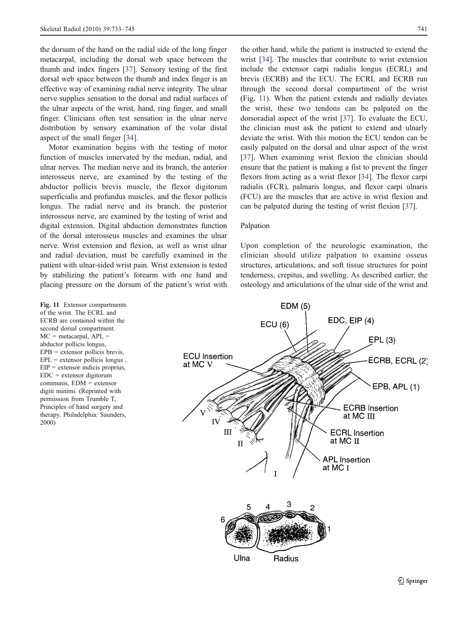the dorsum of the hand on the radial side of the long finger metacarpal, including the dorsal web space between the thumb and index fingers [\[37](#page-12-0)]. Sensory testing of the first dorsal web space between the thumb and index finger is an effective way of examining radial nerve integrity. The ulnar nerve supplies sensation to the dorsal and radial surfaces of the ulnar aspects of the wrist, hand, ring finger, and small finger. Clinicians often test sensation in the ulnar nerve distribution by sensory examination of the volar distal aspect of the small finger [\[34](#page-12-0)].

Motor examination begins with the testing of motor function of muscles innervated by the median, radial, and ulnar nerves. The median nerve and its branch, the anterior interosseus nerve, are examined by the testing of the abductor pollicis brevis muscle, the flexor digitorum superficialis and profundus muscles, and the flexor pollicis longus. The radial nerve and its branch, the posterior interosseus nerve, are examined by the testing of wrist and digital extension. Digital abduction demonstrates function of the dorsal interosseus muscles and examines the ulnar nerve. Wrist extension and flexion, as well as wrist ulnar and radial deviation, must be carefully examined in the patient with ulnar-sided wrist pain. Wrist extension is tested by stabilizing the patient's forearm with one hand and placing pressure on the dorsum of the patient's wrist with

Fig. 11 Extensor compartments of the wrist. The ECRL and ECRB are contained within the second dorsal compartment.  $MC =$  metacarpal,  $APL =$ abductor pollicis longus,  $EPB =$  extensor pollicis brevis,  $EPL$  = extensor pollicis longus,  $EIP =$  extensor indicis proprius, EDC = extensor digitorum communis, EDM = extensor digiti minimi. (Reprinted with permission from Trumble T, Principles of hand surgery and therapy. Philadelphia: Saunders, 2000)

the other hand, while the patient is instructed to extend the wrist [\[34](#page-12-0)]. The muscles that contribute to wrist extension include the extensor carpi radialis longus (ECRL) and brevis (ECRB) and the ECU. The ECRL and ECRB run through the second dorsal compartment of the wrist (Fig. 11). When the patient extends and radially deviates the wrist, these two tendons can be palpated on the dorsoradial aspect of the wrist [\[37](#page-12-0)]. To evaluate the ECU, the clinician must ask the patient to extend and ulnarly deviate the wrist. With this motion the ECU tendon can be easily palpated on the dorsal and ulnar aspect of the wrist [\[37](#page-12-0)]. When examining wrist flexion the clinician should ensure that the patient is making a fist to prevent the finger flexors from acting as a wrist flexor [[34\]](#page-12-0). The flexor carpi radialis (FCR), palmaris longus, and flexor carpi ulnaris (FCU) are the muscles that are active in wrist flexion and can be palpated during the testing of wrist flexion [[37\]](#page-12-0).

#### Palpation

Upon completion of the neurologic examination, the clinician should utilize palpation to examine osseus structures, articulations, and soft tissue structures for point tenderness, crepitus, and swelling. As described earlier, the osteology and articulations of the ulnar side of the wrist and

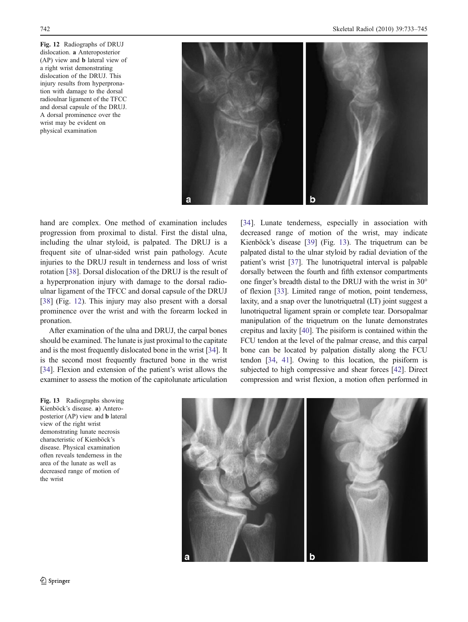Fig. 12 Radiographs of DRUJ dislocation. a Anteroposterior (AP) view and b lateral view of a right wrist demonstrating dislocation of the DRUJ. This injury results from hyperpronation with damage to the dorsal radioulnar ligament of the TFCC and dorsal capsule of the DRUJ. A dorsal prominence over the wrist may be evident on physical examination



hand are complex. One method of examination includes progression from proximal to distal. First the distal ulna, including the ulnar styloid, is palpated. The DRUJ is a frequent site of ulnar-sided wrist pain pathology. Acute injuries to the DRUJ result in tenderness and loss of wrist rotation [\[38](#page-12-0)]. Dorsal dislocation of the DRUJ is the result of a hyperpronation injury with damage to the dorsal radioulnar ligament of the TFCC and dorsal capsule of the DRUJ [\[38](#page-12-0)] (Fig. 12). This injury may also present with a dorsal prominence over the wrist and with the forearm locked in pronation.

After examination of the ulna and DRUJ, the carpal bones should be examined. The lunate is just proximal to the capitate and is the most frequently dislocated bone in the wrist [\[34\]](#page-12-0). It is the second most frequently fractured bone in the wrist [\[34\]](#page-12-0). Flexion and extension of the patient's wrist allows the examiner to assess the motion of the capitolunate articulation [\[34](#page-12-0)]. Lunate tenderness, especially in association with decreased range of motion of the wrist, may indicate Kienböck's disease [[39](#page-12-0)] (Fig. 13). The triquetrum can be palpated distal to the ulnar styloid by radial deviation of the patient's wrist [\[37\]](#page-12-0). The lunotriquetral interval is palpable dorsally between the fourth and fifth extensor compartments one finger's breadth distal to the DRUJ with the wrist in 30° of flexion [\[33](#page-12-0)]. Limited range of motion, point tenderness, laxity, and a snap over the lunotriquetral (LT) joint suggest a lunotriquetral ligament sprain or complete tear. Dorsopalmar manipulation of the triquetrum on the lunate demonstrates crepitus and laxity [\[40\]](#page-12-0). The pisiform is contained within the FCU tendon at the level of the palmar crease, and this carpal bone can be located by palpation distally along the FCU tendon [\[34,](#page-12-0) [41\]](#page-12-0). Owing to this location, the pisiform is subjected to high compressive and shear forces [\[42](#page-12-0)]. Direct compression and wrist flexion, a motion often performed in

Fig. 13 Radiographs showing Kienböck's disease. a) Anteroposterior (AP) view and b lateral view of the right wrist demonstrating lunate necrosis characteristic of Kienböck's disease. Physical examination often reveals tenderness in the area of the lunate as well as decreased range of motion of the wrist

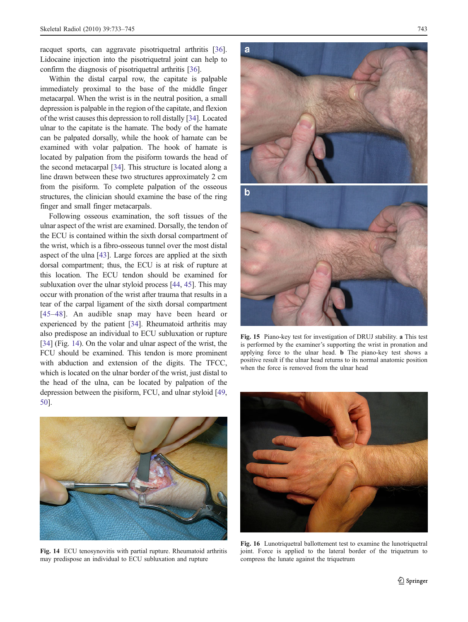<span id="page-10-0"></span>racquet sports, can aggravate pisotriquetral arthritis [[36\]](#page-12-0). Lidocaine injection into the pisotriquetral joint can help to confirm the diagnosis of pisotriquetral arthritis [\[36](#page-12-0)].

Within the distal carpal row, the capitate is palpable immediately proximal to the base of the middle finger metacarpal. When the wrist is in the neutral position, a small depression is palpable in the region of the capitate, and flexion of the wrist causes this depression to roll distally [\[34\]](#page-12-0). Located ulnar to the capitate is the hamate. The body of the hamate can be palpated dorsally, while the hook of hamate can be examined with volar palpation. The hook of hamate is located by palpation from the pisiform towards the head of the second metacarpal [\[34](#page-12-0)]. This structure is located along a line drawn between these two structures approximately 2 cm from the pisiform. To complete palpation of the osseous structures, the clinician should examine the base of the ring finger and small finger metacarpals.

Following osseous examination, the soft tissues of the ulnar aspect of the wrist are examined. Dorsally, the tendon of the ECU is contained within the sixth dorsal compartment of the wrist, which is a fibro-osseous tunnel over the most distal aspect of the ulna [\[43\]](#page-12-0). Large forces are applied at the sixth dorsal compartment; thus, the ECU is at risk of rupture at this location. The ECU tendon should be examined for subluxation over the ulnar styloid process [\[44](#page-12-0), [45](#page-12-0)]. This may occur with pronation of the wrist after trauma that results in a tear of the carpal ligament of the sixth dorsal compartment [\[45](#page-12-0)–[48](#page-12-0)]. An audible snap may have been heard or experienced by the patient [\[34](#page-12-0)]. Rheumatoid arthritis may also predispose an individual to ECU subluxation or rupture [\[34\]](#page-12-0) (Fig. 14). On the volar and ulnar aspect of the wrist, the FCU should be examined. This tendon is more prominent with abduction and extension of the digits. The TFCC, which is located on the ulnar border of the wrist, just distal to the head of the ulna, can be located by palpation of the depression between the pisiform, FCU, and ulnar styloid [[49,](#page-12-0) [50\]](#page-12-0).



Fig. 14 ECU tenosynovitis with partial rupture. Rheumatoid arthritis may predispose an individual to ECU subluxation and rupture



Fig. 15 Piano-key test for investigation of DRUJ stability. a This test is performed by the examiner's supporting the wrist in pronation and applying force to the ulnar head. b The piano-key test shows a positive result if the ulnar head returns to its normal anatomic position when the force is removed from the ulnar head



Fig. 16 Lunotriquetral ballottement test to examine the lunotriquetral joint. Force is applied to the lateral border of the triquetrum to compress the lunate against the triquetrum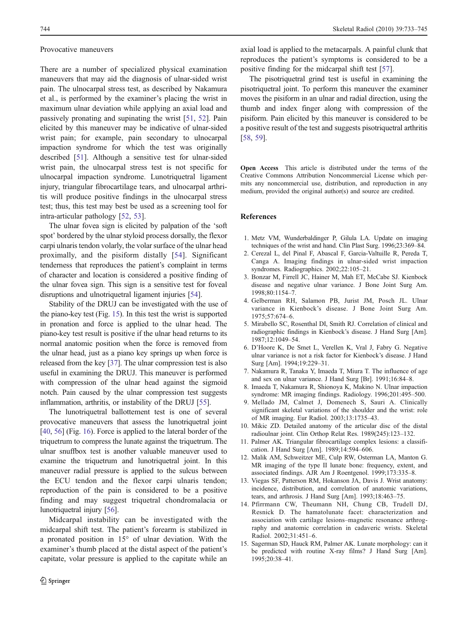#### <span id="page-11-0"></span>Provocative maneuvers

There are a number of specialized physical examination maneuvers that may aid the diagnosis of ulnar-sided wrist pain. The ulnocarpal stress test, as described by Nakamura et al., is performed by the examiner's placing the wrist in maximum ulnar deviation while applying an axial load and passively pronating and supinating the wrist [[51,](#page-12-0) [52](#page-12-0)]. Pain elicited by this maneuver may be indicative of ulnar-sided wrist pain; for example, pain secondary to ulnocarpal impaction syndrome for which the test was originally described [\[51](#page-12-0)]. Although a sensitive test for ulnar-sided wrist pain, the ulnocarpal stress test is not specific for ulnocarpal impaction syndrome. Lunotriquetral ligament injury, triangular fibrocartilage tears, and ulnocarpal arthritis will produce positive findings in the ulnocarpal stress test; thus, this test may best be used as a screening tool for intra-articular pathology [\[52](#page-12-0), [53](#page-12-0)].

The ulnar fovea sign is elicited by palpation of the 'soft spot' bordered by the ulnar styloid process dorsally, the flexor carpi ulnaris tendon volarly, the volar surface of the ulnar head proximally, and the pisiform distally [[54](#page-12-0)]. Significant tenderness that reproduces the patient's complaint in terms of character and location is considered a positive finding of the ulnar fovea sign. This sign is a sensitive test for foveal disruptions and ulnotriquetral ligament injuries [\[54\]](#page-12-0).

Stability of the DRUJ can be investigated with the use of the piano-key test (Fig. [15](#page-10-0)). In this test the wrist is supported in pronation and force is applied to the ulnar head. The piano-key test result is positive if the ulnar head returns to its normal anatomic position when the force is removed from the ulnar head, just as a piano key springs up when force is released from the key [\[37\]](#page-12-0). The ulnar compression test is also useful in examining the DRUJ. This maneuver is performed with compression of the ulnar head against the sigmoid notch. Pain caused by the ulnar compression test suggests inflammation, arthritis, or instability of the DRUJ [[55](#page-12-0)].

The lunotriquetral ballottement test is one of several provocative maneuvers that assess the lunotriquetral joint [\[40,](#page-12-0) [56\]](#page-12-0) (Fig. [16](#page-10-0)). Force is applied to the lateral border of the triquetrum to compress the lunate against the triquetrum. The ulnar snuffbox test is another valuable maneuver used to examine the triquetrum and lunotriquetral joint. In this maneuver radial pressure is applied to the sulcus between the ECU tendon and the flexor carpi ulnaris tendon; reproduction of the pain is considered to be a positive finding and may suggest triquetral chondromalacia or lunotriquetral injury [\[56\]](#page-12-0).

Midcarpal instability can be investigated with the midcarpal shift test. The patient's forearm is stabilized in a pronated position in 15° of ulnar deviation. With the examiner's thumb placed at the distal aspect of the patient's capitate, volar pressure is applied to the capitate while an

axial load is applied to the metacarpals. A painful clunk that reproduces the patient's symptoms is considered to be a positive finding for the midcarpal shift test [\[57](#page-12-0)].

The pisotriquetral grind test is useful in examining the pisotriquetral joint. To perform this maneuver the examiner moves the pisiform in an ulnar and radial direction, using the thumb and index finger along with compression of the pisiform. Pain elicited by this maneuver is considered to be a positive result of the test and suggests pisotriquetral arthritis [\[58](#page-12-0), [59](#page-12-0)].

Open Access This article is distributed under the terms of the Creative Commons Attribution Noncommercial License which permits any noncommercial use, distribution, and reproduction in any medium, provided the original author(s) and source are credited.

## References

- 1. Metz VM, Wunderbaldinger P, Gilula LA. Update on imaging techniques of the wrist and hand. Clin Plast Surg. 1996;23:369–84.
- 2. Cerezal L, del Pinal F, Abascal F, Garcia-Valtuille R, Pereda T, Canga A. Imaging findings in ulnar-sided wrist impaction syndromes. Radiographics. 2002;22:105–21.
- 3. Bonzar M, Firrell JC, Hainer M, Mah ET, McCabe SJ. Kienbock disease and negative ulnar variance. J Bone Joint Surg Am. 1998;80:1154–7.
- 4. Gelberman RH, Salamon PB, Jurist JM, Posch JL. Ulnar variance in Kienbock's disease. J Bone Joint Surg Am. 1975;57:674–6.
- 5. Mirabello SC, Rosenthal DI, Smith RJ. Correlation of clinical and radiographic findings in Kienbock's disease. J Hand Surg [Am]. 1987;12:1049–54.
- 6. D'Hoore K, De Smet L, Verellen K, Vral J, Fabry G. Negative ulnar variance is not a risk factor for Kienbock's disease. J Hand Surg [Am]. 1994;19:229–31.
- 7. Nakamura R, Tanaka Y, Imaeda T, Miura T. The influence of age and sex on ulnar variance. J Hand Surg [Br]. 1991;16:84–8.
- 8. Imaeda T, Nakamura R, Shionoya K, Makino N. Ulnar impaction syndrome: MR imaging findings. Radiology. 1996;201:495–500.
- 9. Mellado JM, Calmet J, Domenech S, Sauri A. Clinically significant skeletal variations of the shoulder and the wrist: role of MR imaging. Eur Radiol. 2003;13:1735–43.
- 10. Mikic ZD. Detailed anatomy of the articular disc of the distal radioulnar joint. Clin Orthop Relat Res. 1989(245):123–132.
- 11. Palmer AK. Triangular fibrocartilage complex lesions: a classification. J Hand Surg [Am]. 1989;14:594–606.
- 12. Malik AM, Schweitzer ME, Culp RW, Osterman LA, Manton G. MR imaging of the type II lunate bone: frequency, extent, and associated findings. AJR Am J Roentgenol. 1999;173:335–8.
- 13. Viegas SF, Patterson RM, Hokanson JA, Davis J. Wrist anatomy: incidence, distribution, and correlation of anatomic variations, tears, and arthrosis. J Hand Surg [Am]. 1993;18:463–75.
- 14. Pfirrmann CW, Theumann NH, Chung CB, Trudell DJ, Resnick D. The hamatolunate facet: characterization and association with cartilage lesions–magnetic resonance arthrography and anatomic correlation in cadaveric wrists. Skeletal Radiol. 2002;31:451–6.
- 15. Sagerman SD, Hauck RM, Palmer AK. Lunate morphology: can it be predicted with routine X-ray films? J Hand Surg [Am]. 1995;20:38–41.